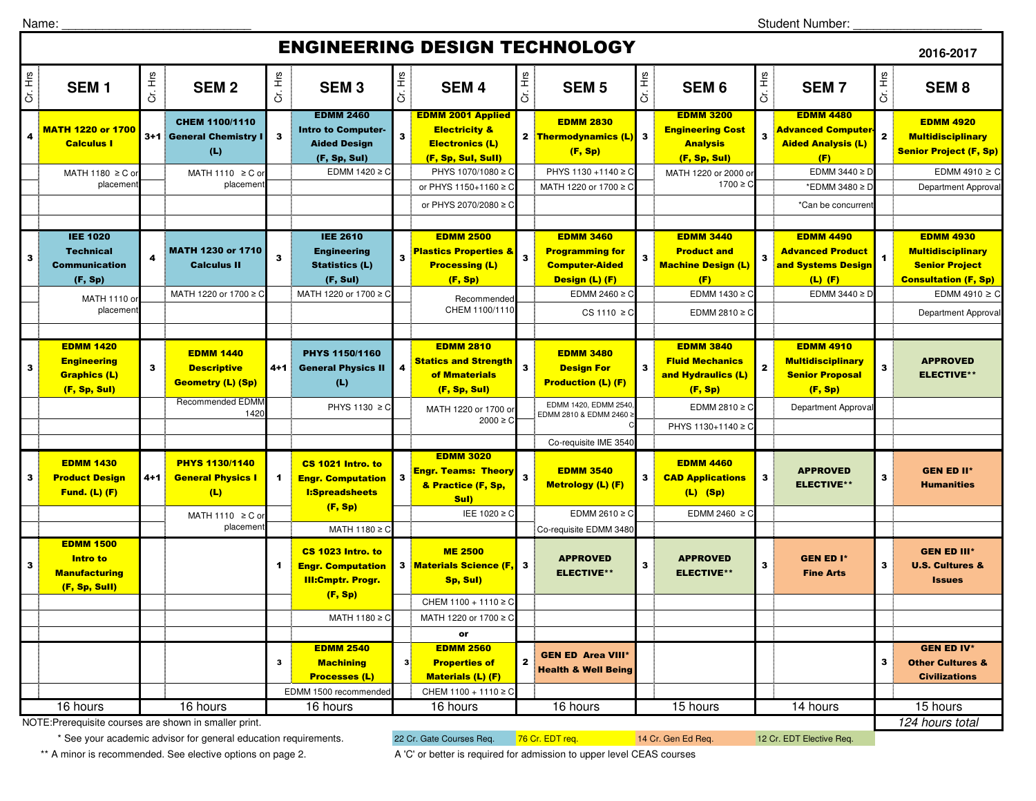Name:

Student Number: \_\_\_\_\_\_\_\_\_\_\_\_\_\_\_\_\_\_\_

## ENGINEERING DESIGN TECHNOLOGY

| Cr. Hrs<br>Cr. Hrs<br>Cr. Hrs<br>Cr. Hrs<br>Cr. Hrs<br>Cr. Hrs<br>Cr. Hrs<br>Cr. Hrs<br>SEM <sub>1</sub><br><b>SEM2</b><br><b>SEM 5</b><br><b>SEM3</b><br><b>SEM4</b><br>SEM <sub>6</sub><br><b>SEM7</b><br>SEM <sub>8</sub><br><b>EDMM 2460</b><br><b>EDMM 3200</b><br><b>EDMM 4480</b><br><b>EDMM 2001 Applied</b><br><b>EDMM 2830</b><br><b>EDMM 4920</b><br>CHEM 1100/1110<br><mark>МАТН 1220 or 1700</mark><br><b>Electricity &amp;</b><br><b>Intro to Computer-</b><br><b>Engineering Cost</b><br>Advanced Computer-<br>$\overline{\mathbf{2}}$<br>$\overline{\mathbf{3}}$<br>$\overline{\mathbf{3}}$<br>4<br>2 Thermodynamics (L)<br>$\mathbf{3}$<br>3+1 General Chemistry I<br>3<br><b>Multidisciplinary</b><br><b>Calculus I</b><br><b>Aided Design</b><br><b>Electronics (L)</b><br><b>Analysis</b><br><b>Aided Analysis (L)</b><br>(L)<br><b>Senior Project (F, Sp)</b><br>(F, Sp)<br>(F, Sp, Sul)<br>(F, Sp, Sul, Sull)<br>(F, Sp, Sul)<br>(F)<br>PHYS 1130 +1140 ≥ C<br>EDMM 3440 $\geq$ D<br>EDMM $1420 \ge C$<br>PHYS 1070/1080 ≥ C<br>MATH 1180 ≥ C o<br>MATH 1110 ≥ C o<br>MATH 1220 or 2000 o<br>placemen<br>placemen<br>1700 ≥ C<br>or PHYS 1150+1160 ≥ C<br>MATH 1220 or 1700 ≥<br>*EDMM 3480 ≥ D<br>Department Approva<br>or PHYS 2070/2080 ≥ 0<br>*Can be concurrer<br><b>IEE 2610</b><br><b>IEE 1020</b><br><b>EDMM 3440</b><br><b>EDMM 4930</b><br><b>EDMM 2500</b><br><b>EDMM 3460</b><br><b>EDMM 4490</b><br><b>Technical</b><br>MATH 1230 or 1710<br><b>Engineering</b><br><b>Plastics Properties &amp;</b><br><b>Programming for</b><br><b>Product and</b><br><b>Advanced Product</b><br><b>Multidisciplinary</b><br>$\overline{\mathbf{3}}$<br>$\mathbf{3}$<br>4<br>3<br>$\mathbf{3}$<br>$\overline{\mathbf{3}}$<br><b>Calculus II</b><br><b>Machine Design (L)</b><br><b>Communication</b><br><b>Statistics (L)</b><br><b>Processing (L)</b><br><b>Computer-Aided</b><br>and Systems Design<br><b>Senior Project</b><br>(F, Sul)<br>(F, Sp)<br>(F)<br><b>Consultation (F, Sp)</b><br>(F, Sp)<br>Design (L) (F)<br>$(L)$ $(F)$<br>EDMM 1430 ≥ C<br>MATH 1220 or 1700 ≥ C<br>MATH 1220 or 1700 ≥ C<br>EDMM 2460 $\geq$ C<br>EDMM 3440 $\geq$ D<br>EDMM 4910 $\geq$ C<br>MATH 1110 0<br>Recommended<br>CHEM 1100/1110<br>placement<br>$CS 1110 \geq C$<br>EDMM 2810 $\geq$ C<br><b>Department Approval</b><br><b>EDMM 1420</b><br><b>EDMM 3840</b><br><b>EDMM 2810</b><br><b>EDMM 4910</b><br><b>EDMM 1440</b><br>PHYS 1150/1160<br><b>EDMM 3480</b><br><b>Statics and Strength</b><br><b>Fluid Mechanics</b><br><b>Multidisciplinary</b><br><b>APPROVED</b><br><b>Engineering</b><br>$\mathbf{3}$<br>3<br>$\mathbf{3}$<br><b>General Physics II</b><br>$\mathbf{2}$<br>3<br><b>Descriptive</b><br>4+1<br>4<br><b>Design For</b><br>3<br><b>ELECTIVE**</b><br>of Mmaterials<br>and Hydraulics (L)<br><b>Senior Proposal</b><br><b>Graphics (L)</b><br><b>Geometry (L) (Sp)</b><br>(L)<br><b>Production (L) (F)</b><br>(F, Sp, Sul)<br>(F, Sp, Sul)<br>(F, Sp)<br>(F, Sp)<br>Recommended EDMM<br>EDMM 1420, EDMM 2540<br>PHYS 1130 ≥ C<br>EDMM 2810 $\geq$ C<br>Department Approval<br>MATH 1220 or 1700 or<br>1420<br>EDMM 2810 & EDMM 2460 ≥<br>$2000 \ge C$<br>PHYS 1130+1140 ≥ C<br>Co-requisite IME 3540<br><b>EDMM 3020</b><br><b>EDMM 1430</b><br><b>PHYS 1130/1140</b><br><b>EDMM 4460</b><br>CS 1021 Intro. to<br><b>EDMM 3540</b><br><b>APPROVED</b><br><b>GEN ED II*</b><br><b>Engr. Teams: Theory</b><br>$\overline{\mathbf{3}}$<br>3<br>3<br>3<br>3<br>3<br><b>Product Design</b><br>$4 + 1$<br><b>General Physics I</b><br>$\blacktriangleleft$<br><b>Engr. Computation</b><br><b>CAD Applications</b><br><b>ELECTIVE**</b><br>& Practice (F, Sp,<br><b>Metrology (L) (F)</b><br><b>Humanities</b><br><b>Fund. (L) (F)</b><br>(L)<br><b>I:Spreadsheets</b><br>$(L)$ (Sp)<br>Sul)<br>(F, Sp)<br>IEE 1020 ≥ C<br>EDMM 2610 $\geq$ C<br>EDMM 2460 $\geq$ C<br>MATH 1110 ≥ C or<br>placemen<br>Co-requisite EDMM 3480<br>MATH $1180 \ge C$<br><b>EDMM 1500</b><br>CS 1023 Intro. to<br><b>ME 2500</b><br><b>GEN ED III*</b><br><b>GEN ED I*</b><br>Intro to<br><b>APPROVED</b><br><b>APPROVED</b><br>$\mathbf{3}$<br>$\mathbf{3}$<br>$\mathbf 3$<br>$\mathbf{3}$<br>3 Materials Science (F,<br>3<br><b>U.S. Cultures &amp;</b><br><b>Engr. Computation</b><br>1<br><b>ELECTIVE**</b><br><b>ELECTIVE**</b><br><b>Manufacturing</b><br><b>Fine Arts</b><br><b>Ill:Cmptr. Progr.</b><br>Sp, Sul)<br><b>Issues</b><br>(F, Sp, Sull)<br>(F, Sp)<br>CHEM 1100 + 1110 ≥ C<br>MATH 1180 ≥ C<br>MATH 1220 or 1700 ≥ C<br>or<br><b>GEN ED IV*</b><br><b>EDMM 2540</b><br><b>EDMM 2560</b><br><b>GEN ED Area VIII</b><br>$\mathbf{z}$<br>$\mathbf{3}$<br>3<br>3<br><b>Other Cultures &amp;</b><br><b>Machining</b><br><b>Properties of</b><br><b>Health &amp; Well Being</b><br><b>Processes (L)</b><br><b>Materials (L) (F)</b><br><b>Civilizations</b><br>CHEM 1100 + 1110 ≥ C<br>EDMM 1500 recommended<br>15 hours<br>16 hours<br>16 hours<br>16 hours<br>16 hours<br>15 hours<br>14 hours<br>16 hours<br>NOTE: Prerequisite courses are shown in smaller print. | ENGINEERING DESIGN TECHNOLOGT<br>2016-2017 |  |  |  |  |  |  |  |  |  |  |  |  |  |                    |
|----------------------------------------------------------------------------------------------------------------------------------------------------------------------------------------------------------------------------------------------------------------------------------------------------------------------------------------------------------------------------------------------------------------------------------------------------------------------------------------------------------------------------------------------------------------------------------------------------------------------------------------------------------------------------------------------------------------------------------------------------------------------------------------------------------------------------------------------------------------------------------------------------------------------------------------------------------------------------------------------------------------------------------------------------------------------------------------------------------------------------------------------------------------------------------------------------------------------------------------------------------------------------------------------------------------------------------------------------------------------------------------------------------------------------------------------------------------------------------------------------------------------------------------------------------------------------------------------------------------------------------------------------------------------------------------------------------------------------------------------------------------------------------------------------------------------------------------------------------------------------------------------------------------------------------------------------------------------------------------------------------------------------------------------------------------------------------------------------------------------------------------------------------------------------------------------------------------------------------------------------------------------------------------------------------------------------------------------------------------------------------------------------------------------------------------------------------------------------------------------------------------------------------------------------------------------------------------------------------------------------------------------------------------------------------------------------------------------------------------------------------------------------------------------------------------------------------------------------------------------------------------------------------------------------------------------------------------------------------------------------------------------------------------------------------------------------------------------------------------------------------------------------------------------------------------------------------------------------------------------------------------------------------------------------------------------------------------------------------------------------------------------------------------------------------------------------------------------------------------------------------------------------------------------------------------------------------------------------------------------------------------------------------------------------------------------------------------------------------------------------------------------------------------------------------------------------------------------------------------------------------------------------------------------------------------------------------------------------------------------------------------------------------------------------------------------------------------------------------------------------------------------------------------------------------------------------------------------------------------------------------------------------------------------------------------------------------------------------------------------------------------------------------------------------------------------------------------------------------------------------------------------------------------------------------------------------------------------------------------------------------------------------------------------------------------------------------------------------------------------------------------------------------------------------------------------------------------------------------------------------------------------------------------------------------------------------------------------------------------------------------------------------------------------------------------------------------------------|--------------------------------------------|--|--|--|--|--|--|--|--|--|--|--|--|--|--------------------|
|                                                                                                                                                                                                                                                                                                                                                                                                                                                                                                                                                                                                                                                                                                                                                                                                                                                                                                                                                                                                                                                                                                                                                                                                                                                                                                                                                                                                                                                                                                                                                                                                                                                                                                                                                                                                                                                                                                                                                                                                                                                                                                                                                                                                                                                                                                                                                                                                                                                                                                                                                                                                                                                                                                                                                                                                                                                                                                                                                                                                                                                                                                                                                                                                                                                                                                                                                                                                                                                                                                                                                                                                                                                                                                                                                                                                                                                                                                                                                                                                                                                                                                                                                                                                                                                                                                                                                                                                                                                                                                                                                                                                                                                                                                                                                                                                                                                                                                                                                                                                                                                                                              |                                            |  |  |  |  |  |  |  |  |  |  |  |  |  |                    |
|                                                                                                                                                                                                                                                                                                                                                                                                                                                                                                                                                                                                                                                                                                                                                                                                                                                                                                                                                                                                                                                                                                                                                                                                                                                                                                                                                                                                                                                                                                                                                                                                                                                                                                                                                                                                                                                                                                                                                                                                                                                                                                                                                                                                                                                                                                                                                                                                                                                                                                                                                                                                                                                                                                                                                                                                                                                                                                                                                                                                                                                                                                                                                                                                                                                                                                                                                                                                                                                                                                                                                                                                                                                                                                                                                                                                                                                                                                                                                                                                                                                                                                                                                                                                                                                                                                                                                                                                                                                                                                                                                                                                                                                                                                                                                                                                                                                                                                                                                                                                                                                                                              |                                            |  |  |  |  |  |  |  |  |  |  |  |  |  |                    |
|                                                                                                                                                                                                                                                                                                                                                                                                                                                                                                                                                                                                                                                                                                                                                                                                                                                                                                                                                                                                                                                                                                                                                                                                                                                                                                                                                                                                                                                                                                                                                                                                                                                                                                                                                                                                                                                                                                                                                                                                                                                                                                                                                                                                                                                                                                                                                                                                                                                                                                                                                                                                                                                                                                                                                                                                                                                                                                                                                                                                                                                                                                                                                                                                                                                                                                                                                                                                                                                                                                                                                                                                                                                                                                                                                                                                                                                                                                                                                                                                                                                                                                                                                                                                                                                                                                                                                                                                                                                                                                                                                                                                                                                                                                                                                                                                                                                                                                                                                                                                                                                                                              |                                            |  |  |  |  |  |  |  |  |  |  |  |  |  | EDMM 4910 $\geq$ C |
|                                                                                                                                                                                                                                                                                                                                                                                                                                                                                                                                                                                                                                                                                                                                                                                                                                                                                                                                                                                                                                                                                                                                                                                                                                                                                                                                                                                                                                                                                                                                                                                                                                                                                                                                                                                                                                                                                                                                                                                                                                                                                                                                                                                                                                                                                                                                                                                                                                                                                                                                                                                                                                                                                                                                                                                                                                                                                                                                                                                                                                                                                                                                                                                                                                                                                                                                                                                                                                                                                                                                                                                                                                                                                                                                                                                                                                                                                                                                                                                                                                                                                                                                                                                                                                                                                                                                                                                                                                                                                                                                                                                                                                                                                                                                                                                                                                                                                                                                                                                                                                                                                              |                                            |  |  |  |  |  |  |  |  |  |  |  |  |  |                    |
|                                                                                                                                                                                                                                                                                                                                                                                                                                                                                                                                                                                                                                                                                                                                                                                                                                                                                                                                                                                                                                                                                                                                                                                                                                                                                                                                                                                                                                                                                                                                                                                                                                                                                                                                                                                                                                                                                                                                                                                                                                                                                                                                                                                                                                                                                                                                                                                                                                                                                                                                                                                                                                                                                                                                                                                                                                                                                                                                                                                                                                                                                                                                                                                                                                                                                                                                                                                                                                                                                                                                                                                                                                                                                                                                                                                                                                                                                                                                                                                                                                                                                                                                                                                                                                                                                                                                                                                                                                                                                                                                                                                                                                                                                                                                                                                                                                                                                                                                                                                                                                                                                              |                                            |  |  |  |  |  |  |  |  |  |  |  |  |  |                    |
|                                                                                                                                                                                                                                                                                                                                                                                                                                                                                                                                                                                                                                                                                                                                                                                                                                                                                                                                                                                                                                                                                                                                                                                                                                                                                                                                                                                                                                                                                                                                                                                                                                                                                                                                                                                                                                                                                                                                                                                                                                                                                                                                                                                                                                                                                                                                                                                                                                                                                                                                                                                                                                                                                                                                                                                                                                                                                                                                                                                                                                                                                                                                                                                                                                                                                                                                                                                                                                                                                                                                                                                                                                                                                                                                                                                                                                                                                                                                                                                                                                                                                                                                                                                                                                                                                                                                                                                                                                                                                                                                                                                                                                                                                                                                                                                                                                                                                                                                                                                                                                                                                              |                                            |  |  |  |  |  |  |  |  |  |  |  |  |  |                    |
|                                                                                                                                                                                                                                                                                                                                                                                                                                                                                                                                                                                                                                                                                                                                                                                                                                                                                                                                                                                                                                                                                                                                                                                                                                                                                                                                                                                                                                                                                                                                                                                                                                                                                                                                                                                                                                                                                                                                                                                                                                                                                                                                                                                                                                                                                                                                                                                                                                                                                                                                                                                                                                                                                                                                                                                                                                                                                                                                                                                                                                                                                                                                                                                                                                                                                                                                                                                                                                                                                                                                                                                                                                                                                                                                                                                                                                                                                                                                                                                                                                                                                                                                                                                                                                                                                                                                                                                                                                                                                                                                                                                                                                                                                                                                                                                                                                                                                                                                                                                                                                                                                              |                                            |  |  |  |  |  |  |  |  |  |  |  |  |  |                    |
|                                                                                                                                                                                                                                                                                                                                                                                                                                                                                                                                                                                                                                                                                                                                                                                                                                                                                                                                                                                                                                                                                                                                                                                                                                                                                                                                                                                                                                                                                                                                                                                                                                                                                                                                                                                                                                                                                                                                                                                                                                                                                                                                                                                                                                                                                                                                                                                                                                                                                                                                                                                                                                                                                                                                                                                                                                                                                                                                                                                                                                                                                                                                                                                                                                                                                                                                                                                                                                                                                                                                                                                                                                                                                                                                                                                                                                                                                                                                                                                                                                                                                                                                                                                                                                                                                                                                                                                                                                                                                                                                                                                                                                                                                                                                                                                                                                                                                                                                                                                                                                                                                              |                                            |  |  |  |  |  |  |  |  |  |  |  |  |  |                    |
|                                                                                                                                                                                                                                                                                                                                                                                                                                                                                                                                                                                                                                                                                                                                                                                                                                                                                                                                                                                                                                                                                                                                                                                                                                                                                                                                                                                                                                                                                                                                                                                                                                                                                                                                                                                                                                                                                                                                                                                                                                                                                                                                                                                                                                                                                                                                                                                                                                                                                                                                                                                                                                                                                                                                                                                                                                                                                                                                                                                                                                                                                                                                                                                                                                                                                                                                                                                                                                                                                                                                                                                                                                                                                                                                                                                                                                                                                                                                                                                                                                                                                                                                                                                                                                                                                                                                                                                                                                                                                                                                                                                                                                                                                                                                                                                                                                                                                                                                                                                                                                                                                              |                                            |  |  |  |  |  |  |  |  |  |  |  |  |  |                    |
|                                                                                                                                                                                                                                                                                                                                                                                                                                                                                                                                                                                                                                                                                                                                                                                                                                                                                                                                                                                                                                                                                                                                                                                                                                                                                                                                                                                                                                                                                                                                                                                                                                                                                                                                                                                                                                                                                                                                                                                                                                                                                                                                                                                                                                                                                                                                                                                                                                                                                                                                                                                                                                                                                                                                                                                                                                                                                                                                                                                                                                                                                                                                                                                                                                                                                                                                                                                                                                                                                                                                                                                                                                                                                                                                                                                                                                                                                                                                                                                                                                                                                                                                                                                                                                                                                                                                                                                                                                                                                                                                                                                                                                                                                                                                                                                                                                                                                                                                                                                                                                                                                              |                                            |  |  |  |  |  |  |  |  |  |  |  |  |  |                    |
|                                                                                                                                                                                                                                                                                                                                                                                                                                                                                                                                                                                                                                                                                                                                                                                                                                                                                                                                                                                                                                                                                                                                                                                                                                                                                                                                                                                                                                                                                                                                                                                                                                                                                                                                                                                                                                                                                                                                                                                                                                                                                                                                                                                                                                                                                                                                                                                                                                                                                                                                                                                                                                                                                                                                                                                                                                                                                                                                                                                                                                                                                                                                                                                                                                                                                                                                                                                                                                                                                                                                                                                                                                                                                                                                                                                                                                                                                                                                                                                                                                                                                                                                                                                                                                                                                                                                                                                                                                                                                                                                                                                                                                                                                                                                                                                                                                                                                                                                                                                                                                                                                              |                                            |  |  |  |  |  |  |  |  |  |  |  |  |  |                    |
|                                                                                                                                                                                                                                                                                                                                                                                                                                                                                                                                                                                                                                                                                                                                                                                                                                                                                                                                                                                                                                                                                                                                                                                                                                                                                                                                                                                                                                                                                                                                                                                                                                                                                                                                                                                                                                                                                                                                                                                                                                                                                                                                                                                                                                                                                                                                                                                                                                                                                                                                                                                                                                                                                                                                                                                                                                                                                                                                                                                                                                                                                                                                                                                                                                                                                                                                                                                                                                                                                                                                                                                                                                                                                                                                                                                                                                                                                                                                                                                                                                                                                                                                                                                                                                                                                                                                                                                                                                                                                                                                                                                                                                                                                                                                                                                                                                                                                                                                                                                                                                                                                              |                                            |  |  |  |  |  |  |  |  |  |  |  |  |  |                    |
|                                                                                                                                                                                                                                                                                                                                                                                                                                                                                                                                                                                                                                                                                                                                                                                                                                                                                                                                                                                                                                                                                                                                                                                                                                                                                                                                                                                                                                                                                                                                                                                                                                                                                                                                                                                                                                                                                                                                                                                                                                                                                                                                                                                                                                                                                                                                                                                                                                                                                                                                                                                                                                                                                                                                                                                                                                                                                                                                                                                                                                                                                                                                                                                                                                                                                                                                                                                                                                                                                                                                                                                                                                                                                                                                                                                                                                                                                                                                                                                                                                                                                                                                                                                                                                                                                                                                                                                                                                                                                                                                                                                                                                                                                                                                                                                                                                                                                                                                                                                                                                                                                              |                                            |  |  |  |  |  |  |  |  |  |  |  |  |  |                    |
|                                                                                                                                                                                                                                                                                                                                                                                                                                                                                                                                                                                                                                                                                                                                                                                                                                                                                                                                                                                                                                                                                                                                                                                                                                                                                                                                                                                                                                                                                                                                                                                                                                                                                                                                                                                                                                                                                                                                                                                                                                                                                                                                                                                                                                                                                                                                                                                                                                                                                                                                                                                                                                                                                                                                                                                                                                                                                                                                                                                                                                                                                                                                                                                                                                                                                                                                                                                                                                                                                                                                                                                                                                                                                                                                                                                                                                                                                                                                                                                                                                                                                                                                                                                                                                                                                                                                                                                                                                                                                                                                                                                                                                                                                                                                                                                                                                                                                                                                                                                                                                                                                              |                                            |  |  |  |  |  |  |  |  |  |  |  |  |  |                    |
|                                                                                                                                                                                                                                                                                                                                                                                                                                                                                                                                                                                                                                                                                                                                                                                                                                                                                                                                                                                                                                                                                                                                                                                                                                                                                                                                                                                                                                                                                                                                                                                                                                                                                                                                                                                                                                                                                                                                                                                                                                                                                                                                                                                                                                                                                                                                                                                                                                                                                                                                                                                                                                                                                                                                                                                                                                                                                                                                                                                                                                                                                                                                                                                                                                                                                                                                                                                                                                                                                                                                                                                                                                                                                                                                                                                                                                                                                                                                                                                                                                                                                                                                                                                                                                                                                                                                                                                                                                                                                                                                                                                                                                                                                                                                                                                                                                                                                                                                                                                                                                                                                              |                                            |  |  |  |  |  |  |  |  |  |  |  |  |  |                    |
|                                                                                                                                                                                                                                                                                                                                                                                                                                                                                                                                                                                                                                                                                                                                                                                                                                                                                                                                                                                                                                                                                                                                                                                                                                                                                                                                                                                                                                                                                                                                                                                                                                                                                                                                                                                                                                                                                                                                                                                                                                                                                                                                                                                                                                                                                                                                                                                                                                                                                                                                                                                                                                                                                                                                                                                                                                                                                                                                                                                                                                                                                                                                                                                                                                                                                                                                                                                                                                                                                                                                                                                                                                                                                                                                                                                                                                                                                                                                                                                                                                                                                                                                                                                                                                                                                                                                                                                                                                                                                                                                                                                                                                                                                                                                                                                                                                                                                                                                                                                                                                                                                              |                                            |  |  |  |  |  |  |  |  |  |  |  |  |  |                    |
|                                                                                                                                                                                                                                                                                                                                                                                                                                                                                                                                                                                                                                                                                                                                                                                                                                                                                                                                                                                                                                                                                                                                                                                                                                                                                                                                                                                                                                                                                                                                                                                                                                                                                                                                                                                                                                                                                                                                                                                                                                                                                                                                                                                                                                                                                                                                                                                                                                                                                                                                                                                                                                                                                                                                                                                                                                                                                                                                                                                                                                                                                                                                                                                                                                                                                                                                                                                                                                                                                                                                                                                                                                                                                                                                                                                                                                                                                                                                                                                                                                                                                                                                                                                                                                                                                                                                                                                                                                                                                                                                                                                                                                                                                                                                                                                                                                                                                                                                                                                                                                                                                              |                                            |  |  |  |  |  |  |  |  |  |  |  |  |  |                    |
|                                                                                                                                                                                                                                                                                                                                                                                                                                                                                                                                                                                                                                                                                                                                                                                                                                                                                                                                                                                                                                                                                                                                                                                                                                                                                                                                                                                                                                                                                                                                                                                                                                                                                                                                                                                                                                                                                                                                                                                                                                                                                                                                                                                                                                                                                                                                                                                                                                                                                                                                                                                                                                                                                                                                                                                                                                                                                                                                                                                                                                                                                                                                                                                                                                                                                                                                                                                                                                                                                                                                                                                                                                                                                                                                                                                                                                                                                                                                                                                                                                                                                                                                                                                                                                                                                                                                                                                                                                                                                                                                                                                                                                                                                                                                                                                                                                                                                                                                                                                                                                                                                              |                                            |  |  |  |  |  |  |  |  |  |  |  |  |  |                    |
|                                                                                                                                                                                                                                                                                                                                                                                                                                                                                                                                                                                                                                                                                                                                                                                                                                                                                                                                                                                                                                                                                                                                                                                                                                                                                                                                                                                                                                                                                                                                                                                                                                                                                                                                                                                                                                                                                                                                                                                                                                                                                                                                                                                                                                                                                                                                                                                                                                                                                                                                                                                                                                                                                                                                                                                                                                                                                                                                                                                                                                                                                                                                                                                                                                                                                                                                                                                                                                                                                                                                                                                                                                                                                                                                                                                                                                                                                                                                                                                                                                                                                                                                                                                                                                                                                                                                                                                                                                                                                                                                                                                                                                                                                                                                                                                                                                                                                                                                                                                                                                                                                              |                                            |  |  |  |  |  |  |  |  |  |  |  |  |  |                    |
|                                                                                                                                                                                                                                                                                                                                                                                                                                                                                                                                                                                                                                                                                                                                                                                                                                                                                                                                                                                                                                                                                                                                                                                                                                                                                                                                                                                                                                                                                                                                                                                                                                                                                                                                                                                                                                                                                                                                                                                                                                                                                                                                                                                                                                                                                                                                                                                                                                                                                                                                                                                                                                                                                                                                                                                                                                                                                                                                                                                                                                                                                                                                                                                                                                                                                                                                                                                                                                                                                                                                                                                                                                                                                                                                                                                                                                                                                                                                                                                                                                                                                                                                                                                                                                                                                                                                                                                                                                                                                                                                                                                                                                                                                                                                                                                                                                                                                                                                                                                                                                                                                              |                                            |  |  |  |  |  |  |  |  |  |  |  |  |  |                    |
|                                                                                                                                                                                                                                                                                                                                                                                                                                                                                                                                                                                                                                                                                                                                                                                                                                                                                                                                                                                                                                                                                                                                                                                                                                                                                                                                                                                                                                                                                                                                                                                                                                                                                                                                                                                                                                                                                                                                                                                                                                                                                                                                                                                                                                                                                                                                                                                                                                                                                                                                                                                                                                                                                                                                                                                                                                                                                                                                                                                                                                                                                                                                                                                                                                                                                                                                                                                                                                                                                                                                                                                                                                                                                                                                                                                                                                                                                                                                                                                                                                                                                                                                                                                                                                                                                                                                                                                                                                                                                                                                                                                                                                                                                                                                                                                                                                                                                                                                                                                                                                                                                              |                                            |  |  |  |  |  |  |  |  |  |  |  |  |  |                    |
|                                                                                                                                                                                                                                                                                                                                                                                                                                                                                                                                                                                                                                                                                                                                                                                                                                                                                                                                                                                                                                                                                                                                                                                                                                                                                                                                                                                                                                                                                                                                                                                                                                                                                                                                                                                                                                                                                                                                                                                                                                                                                                                                                                                                                                                                                                                                                                                                                                                                                                                                                                                                                                                                                                                                                                                                                                                                                                                                                                                                                                                                                                                                                                                                                                                                                                                                                                                                                                                                                                                                                                                                                                                                                                                                                                                                                                                                                                                                                                                                                                                                                                                                                                                                                                                                                                                                                                                                                                                                                                                                                                                                                                                                                                                                                                                                                                                                                                                                                                                                                                                                                              |                                            |  |  |  |  |  |  |  |  |  |  |  |  |  |                    |
|                                                                                                                                                                                                                                                                                                                                                                                                                                                                                                                                                                                                                                                                                                                                                                                                                                                                                                                                                                                                                                                                                                                                                                                                                                                                                                                                                                                                                                                                                                                                                                                                                                                                                                                                                                                                                                                                                                                                                                                                                                                                                                                                                                                                                                                                                                                                                                                                                                                                                                                                                                                                                                                                                                                                                                                                                                                                                                                                                                                                                                                                                                                                                                                                                                                                                                                                                                                                                                                                                                                                                                                                                                                                                                                                                                                                                                                                                                                                                                                                                                                                                                                                                                                                                                                                                                                                                                                                                                                                                                                                                                                                                                                                                                                                                                                                                                                                                                                                                                                                                                                                                              |                                            |  |  |  |  |  |  |  |  |  |  |  |  |  |                    |
|                                                                                                                                                                                                                                                                                                                                                                                                                                                                                                                                                                                                                                                                                                                                                                                                                                                                                                                                                                                                                                                                                                                                                                                                                                                                                                                                                                                                                                                                                                                                                                                                                                                                                                                                                                                                                                                                                                                                                                                                                                                                                                                                                                                                                                                                                                                                                                                                                                                                                                                                                                                                                                                                                                                                                                                                                                                                                                                                                                                                                                                                                                                                                                                                                                                                                                                                                                                                                                                                                                                                                                                                                                                                                                                                                                                                                                                                                                                                                                                                                                                                                                                                                                                                                                                                                                                                                                                                                                                                                                                                                                                                                                                                                                                                                                                                                                                                                                                                                                                                                                                                                              |                                            |  |  |  |  |  |  |  |  |  |  |  |  |  |                    |
|                                                                                                                                                                                                                                                                                                                                                                                                                                                                                                                                                                                                                                                                                                                                                                                                                                                                                                                                                                                                                                                                                                                                                                                                                                                                                                                                                                                                                                                                                                                                                                                                                                                                                                                                                                                                                                                                                                                                                                                                                                                                                                                                                                                                                                                                                                                                                                                                                                                                                                                                                                                                                                                                                                                                                                                                                                                                                                                                                                                                                                                                                                                                                                                                                                                                                                                                                                                                                                                                                                                                                                                                                                                                                                                                                                                                                                                                                                                                                                                                                                                                                                                                                                                                                                                                                                                                                                                                                                                                                                                                                                                                                                                                                                                                                                                                                                                                                                                                                                                                                                                                                              |                                            |  |  |  |  |  |  |  |  |  |  |  |  |  |                    |
|                                                                                                                                                                                                                                                                                                                                                                                                                                                                                                                                                                                                                                                                                                                                                                                                                                                                                                                                                                                                                                                                                                                                                                                                                                                                                                                                                                                                                                                                                                                                                                                                                                                                                                                                                                                                                                                                                                                                                                                                                                                                                                                                                                                                                                                                                                                                                                                                                                                                                                                                                                                                                                                                                                                                                                                                                                                                                                                                                                                                                                                                                                                                                                                                                                                                                                                                                                                                                                                                                                                                                                                                                                                                                                                                                                                                                                                                                                                                                                                                                                                                                                                                                                                                                                                                                                                                                                                                                                                                                                                                                                                                                                                                                                                                                                                                                                                                                                                                                                                                                                                                                              |                                            |  |  |  |  |  |  |  |  |  |  |  |  |  |                    |
|                                                                                                                                                                                                                                                                                                                                                                                                                                                                                                                                                                                                                                                                                                                                                                                                                                                                                                                                                                                                                                                                                                                                                                                                                                                                                                                                                                                                                                                                                                                                                                                                                                                                                                                                                                                                                                                                                                                                                                                                                                                                                                                                                                                                                                                                                                                                                                                                                                                                                                                                                                                                                                                                                                                                                                                                                                                                                                                                                                                                                                                                                                                                                                                                                                                                                                                                                                                                                                                                                                                                                                                                                                                                                                                                                                                                                                                                                                                                                                                                                                                                                                                                                                                                                                                                                                                                                                                                                                                                                                                                                                                                                                                                                                                                                                                                                                                                                                                                                                                                                                                                                              |                                            |  |  |  |  |  |  |  |  |  |  |  |  |  | 124 hours total    |

\* See your academic advisor for general education requirements.

\*\* A minor is recommended. See elective options on page 2. A 'C' or better is required for admission to upper level CEAS courses

22 Cr. Gate Courses Req. 76 Cr. EDT req. 14 Cr. Gen Ed Req. 12 Cr. EDT Elective Req.